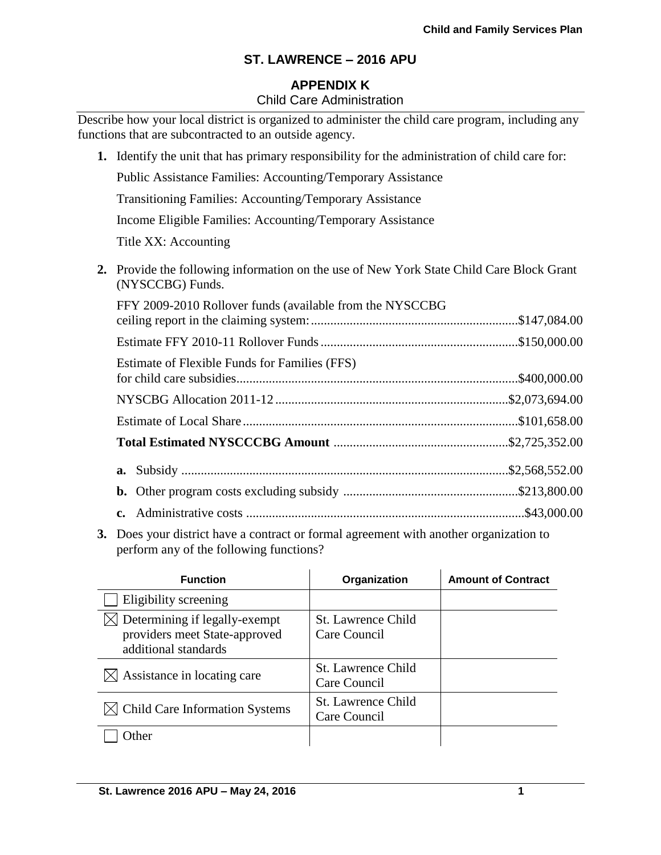## **APPENDIX K**

#### Child Care Administration

Describe how your local district is organized to administer the child care program, including any functions that are subcontracted to an outside agency.

- **1.** Identify the unit that has primary responsibility for the administration of child care for: Public Assistance Families: Accounting/Temporary Assistance Transitioning Families: Accounting/Temporary Assistance Income Eligible Families: Accounting/Temporary Assistance Title XX: Accounting **2.** Provide the following information on the use of New York State Child Care Block Grant (NYSCCBG) Funds. FFY 2009-2010 Rollover funds (available from the NYSCCBG ceiling report in the claiming system:................................................................\$147,084.00 Estimate FFY 2010-11 Rollover Funds.............................................................\$150,000.00
	- Estimate of Flexible Funds for Families (FFS) for child care subsidies.......................................................................................\$400,000.00 NYSCBG Allocation 2011-12 ........................................................................\$2,073,694.00 Estimate of Local Share .....................................................................................\$101,658.00 **Total Estimated NYSCCCBG Amount** ......................................................\$2,725,352.00 **a.** Subsidy .....................................................................................................\$2,568,552.00 **b.** Other program costs excluding subsidy ......................................................\$213,800.00 **c.** Administrative costs ......................................................................................\$43,000.00
- **3.** Does your district have a contract or formal agreement with another organization to perform any of the following functions?

| <b>Function</b>                                                                        | Organization                              | <b>Amount of Contract</b> |
|----------------------------------------------------------------------------------------|-------------------------------------------|---------------------------|
| Eligibility screening                                                                  |                                           |                           |
| Determining if legally-exempt<br>providers meet State-approved<br>additional standards | <b>St. Lawrence Child</b><br>Care Council |                           |
| Assistance in locating care                                                            | <b>St. Lawrence Child</b><br>Care Council |                           |
| $\boxtimes$ Child Care Information Systems                                             | <b>St. Lawrence Child</b><br>Care Council |                           |
| <b>ither</b>                                                                           |                                           |                           |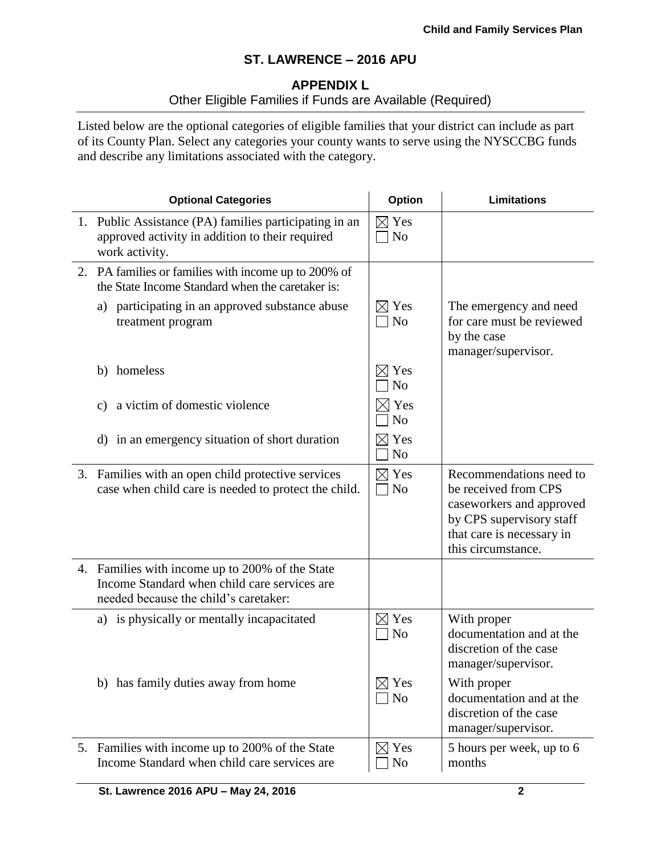# **APPENDIX L**

# Other Eligible Families if Funds are Available (Required)

Listed below are the optional categories of eligible families that your district can include as part of its County Plan. Select any categories your county wants to serve using the NYSCCBG funds and describe any limitations associated with the category.

| <b>Optional Categories</b>                                                                                                               | Option                              | <b>Limitations</b>                                                                                                                                         |
|------------------------------------------------------------------------------------------------------------------------------------------|-------------------------------------|------------------------------------------------------------------------------------------------------------------------------------------------------------|
| 1. Public Assistance (PA) families participating in an<br>approved activity in addition to their required<br>work activity.              | $\boxtimes$ Yes<br>N <sub>o</sub>   |                                                                                                                                                            |
| 2. PA families or families with income up to 200% of<br>the State Income Standard when the caretaker is:                                 |                                     |                                                                                                                                                            |
| a) participating in an approved substance abuse<br>treatment program                                                                     | $\boxtimes$ Yes<br>N <sub>o</sub>   | The emergency and need<br>for care must be reviewed<br>by the case<br>manager/supervisor.                                                                  |
| b) homeless                                                                                                                              | $\boxtimes$ Yes<br>N <sub>o</sub>   |                                                                                                                                                            |
| a victim of domestic violence<br>$\mathcal{C}$ )                                                                                         | $\times$ l Yes<br>N <sub>o</sub>    |                                                                                                                                                            |
| in an emergency situation of short duration<br>d)                                                                                        | $\boxtimes$ Yes<br>N <sub>o</sub>   |                                                                                                                                                            |
| 3. Families with an open child protective services<br>case when child care is needed to protect the child.                               | $\boxtimes$ Yes<br>N <sub>o</sub>   | Recommendations need to<br>be received from CPS<br>caseworkers and approved<br>by CPS supervisory staff<br>that care is necessary in<br>this circumstance. |
| 4. Families with income up to 200% of the State<br>Income Standard when child care services are<br>needed because the child's caretaker: |                                     |                                                                                                                                                            |
| a) is physically or mentally incapacitated                                                                                               | $\boxtimes$ Yes<br>N <sub>0</sub>   | With proper<br>documentation and at the<br>discretion of the case<br>manager/supervisor.                                                                   |
| b) has family duties away from home                                                                                                      | Yes<br>$\times$ l<br>N <sub>0</sub> | With proper<br>documentation and at the<br>discretion of the case<br>manager/supervisor.                                                                   |
| 5. Families with income up to 200% of the State<br>Income Standard when child care services are                                          | $\boxtimes$ Yes<br>No               | 5 hours per week, up to 6<br>months                                                                                                                        |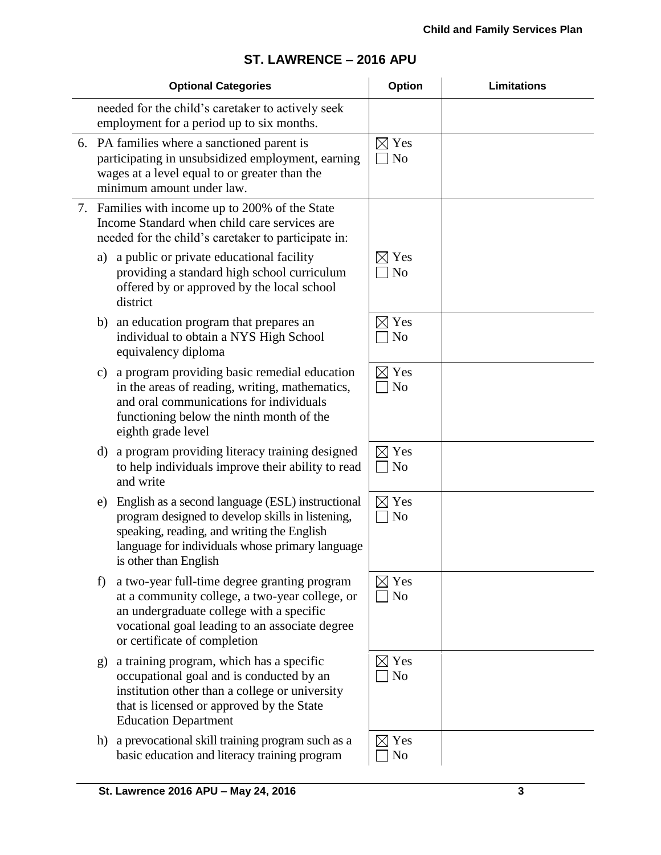|               | <b>Optional Categories</b>                                                                                                                                                                                                     | <b>Option</b>                     | <b>Limitations</b> |
|---------------|--------------------------------------------------------------------------------------------------------------------------------------------------------------------------------------------------------------------------------|-----------------------------------|--------------------|
|               | needed for the child's caretaker to actively seek<br>employment for a period up to six months.                                                                                                                                 |                                   |                    |
|               | 6. PA families where a sanctioned parent is<br>participating in unsubsidized employment, earning<br>wages at a level equal to or greater than the<br>minimum amount under law.                                                 | $\boxtimes$ Yes<br>N <sub>o</sub> |                    |
|               | 7. Families with income up to 200% of the State<br>Income Standard when child care services are<br>needed for the child's caretaker to participate in:                                                                         |                                   |                    |
| a)            | a public or private educational facility<br>providing a standard high school curriculum<br>offered by or approved by the local school<br>district                                                                              | $\boxtimes$ Yes<br>N <sub>o</sub> |                    |
| b)            | an education program that prepares an<br>individual to obtain a NYS High School<br>equivalency diploma                                                                                                                         | $\boxtimes$ Yes<br>N <sub>o</sub> |                    |
| $\mathbf{c})$ | a program providing basic remedial education<br>in the areas of reading, writing, mathematics,<br>and oral communications for individuals<br>functioning below the ninth month of the<br>eighth grade level                    | $\boxtimes$ Yes<br>N <sub>o</sub> |                    |
| d)            | a program providing literacy training designed<br>to help individuals improve their ability to read<br>and write                                                                                                               | $\boxtimes$ Yes<br>N <sub>o</sub> |                    |
| e)            | English as a second language (ESL) instructional<br>program designed to develop skills in listening,<br>speaking, reading, and writing the English<br>language for individuals whose primary language<br>is other than English | $\boxtimes$ Yes<br>N <sub>o</sub> |                    |
| f)            | a two-year full-time degree granting program<br>at a community college, a two-year college, or<br>an undergraduate college with a specific<br>vocational goal leading to an associate degree<br>or certificate of completion   | $\boxtimes$ Yes<br>N <sub>o</sub> |                    |
| g)            | a training program, which has a specific<br>occupational goal and is conducted by an<br>institution other than a college or university<br>that is licensed or approved by the State<br><b>Education Department</b>             | $\boxtimes$ Yes<br>N <sub>o</sub> |                    |
|               | h) a prevocational skill training program such as a<br>basic education and literacy training program                                                                                                                           | $\boxtimes$ Yes<br>No             |                    |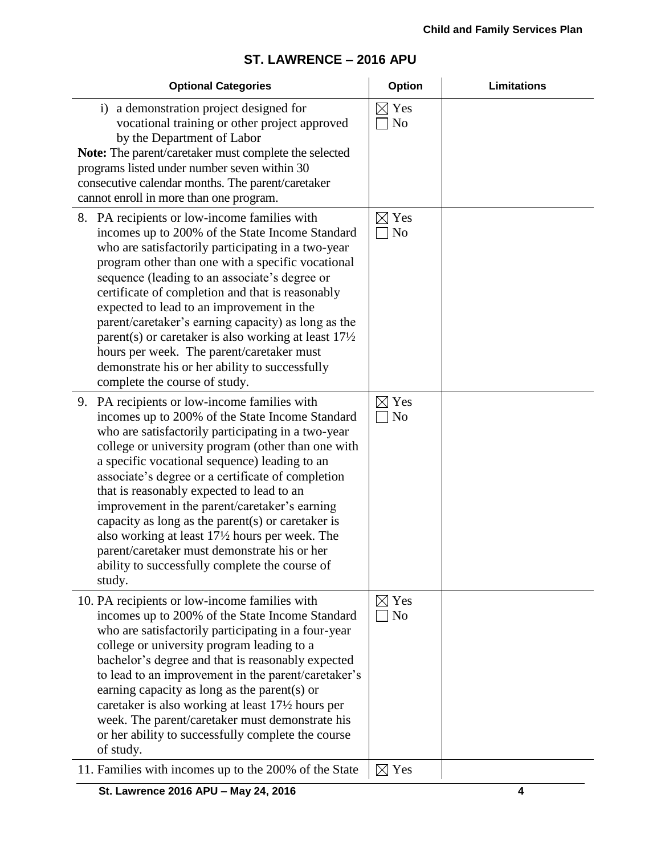#### **Optional Categories Option Limitations** i) a demonstration project designed for vocational training or other project approved by the Department of Labor **Note:** The parent/caretaker must complete the selected programs listed under number seven within 30 consecutive calendar months. The parent/caretaker cannot enroll in more than one program.  $\boxtimes$  Yes  $\Box$  No 8. PA recipients or low-income families with incomes up to 200% of the State Income Standard who are satisfactorily participating in a two-year program other than one with a specific vocational sequence (leading to an associate's degree or certificate of completion and that is reasonably expected to lead to an improvement in the parent/caretaker's earning capacity) as long as the parent(s) or caretaker is also working at least 17½ hours per week. The parent/caretaker must demonstrate his or her ability to successfully complete the course of study.  $\boxtimes$  Yes  $\Box$  No 9. PA recipients or low-income families with incomes up to 200% of the State Income Standard who are satisfactorily participating in a two-year college or university program (other than one with a specific vocational sequence) leading to an associate's degree or a certificate of completion that is reasonably expected to lead to an improvement in the parent/caretaker's earning capacity as long as the parent(s) or caretaker is also working at least 17½ hours per week. The parent/caretaker must demonstrate his or her ability to successfully complete the course of study.  $\boxtimes$  Yes  $\Box$  No 10. PA recipients or low-income families with incomes up to 200% of the State Income Standard who are satisfactorily participating in a four-year college or university program leading to a bachelor's degree and that is reasonably expected to lead to an improvement in the parent/caretaker's earning capacity as long as the parent(s) or caretaker is also working at least 17½ hours per week. The parent/caretaker must demonstrate his or her ability to successfully complete the course of study.  $\boxtimes$  Yes  $\Box$  No 11. Families with incomes up to the 200% of the State  $\Box$  Yes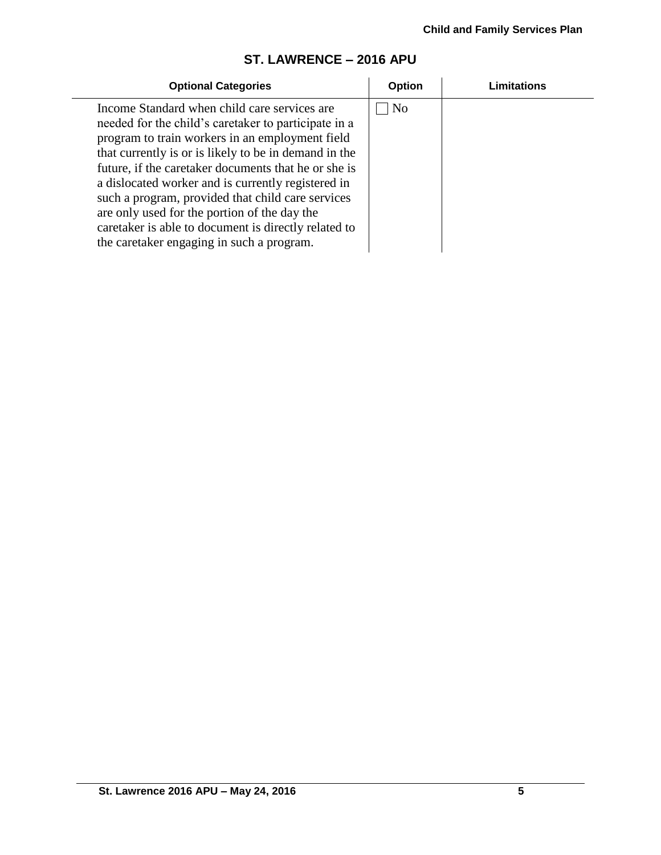| <b>Optional Categories</b>                                                                                                                                                                                                                                                                                                                                                                                                                                                                                                               | <b>Option</b>  | Limitations |
|------------------------------------------------------------------------------------------------------------------------------------------------------------------------------------------------------------------------------------------------------------------------------------------------------------------------------------------------------------------------------------------------------------------------------------------------------------------------------------------------------------------------------------------|----------------|-------------|
| Income Standard when child care services are<br>needed for the child's caretaker to participate in a<br>program to train workers in an employment field<br>that currently is or is likely to be in demand in the<br>future, if the caretaker documents that he or she is<br>a dislocated worker and is currently registered in<br>such a program, provided that child care services<br>are only used for the portion of the day the<br>caretaker is able to document is directly related to<br>the caretaker engaging in such a program. | N <sub>0</sub> |             |
|                                                                                                                                                                                                                                                                                                                                                                                                                                                                                                                                          |                |             |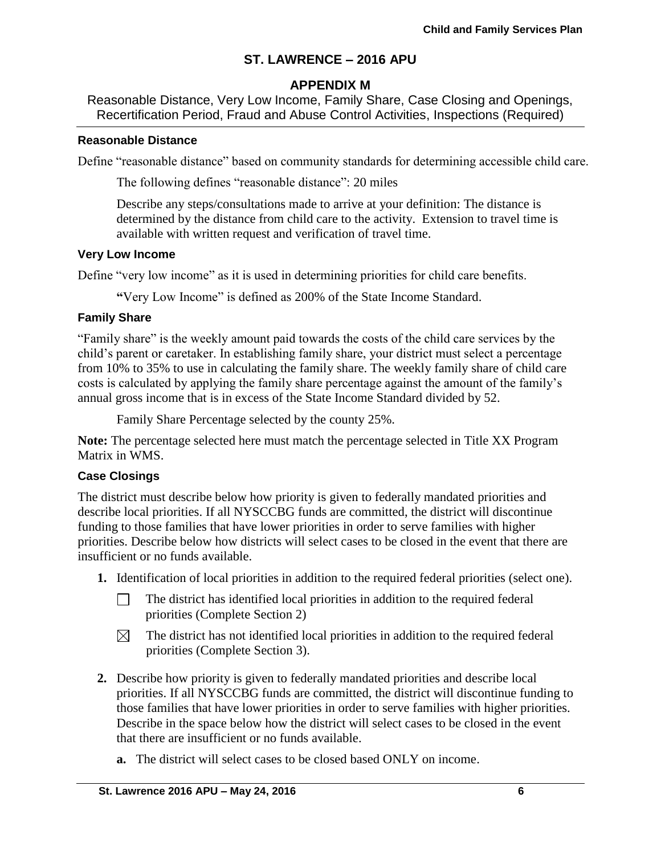## **APPENDIX M**

Reasonable Distance, Very Low Income, Family Share, Case Closing and Openings, Recertification Period, Fraud and Abuse Control Activities, Inspections (Required)

#### **Reasonable Distance**

Define "reasonable distance" based on community standards for determining accessible child care.

The following defines "reasonable distance": 20 miles

Describe any steps/consultations made to arrive at your definition: The distance is determined by the distance from child care to the activity. Extension to travel time is available with written request and verification of travel time.

#### **Very Low Income**

Define "very low income" as it is used in determining priorities for child care benefits.

**"**Very Low Income" is defined as 200% of the State Income Standard.

#### **Family Share**

"Family share" is the weekly amount paid towards the costs of the child care services by the child's parent or caretaker. In establishing family share, your district must select a percentage from 10% to 35% to use in calculating the family share. The weekly family share of child care costs is calculated by applying the family share percentage against the amount of the family's annual gross income that is in excess of the State Income Standard divided by 52.

Family Share Percentage selected by the county 25%.

**Note:** The percentage selected here must match the percentage selected in Title XX Program Matrix in WMS.

#### **Case Closings**

The district must describe below how priority is given to federally mandated priorities and describe local priorities. If all NYSCCBG funds are committed, the district will discontinue funding to those families that have lower priorities in order to serve families with higher priorities. Describe below how districts will select cases to be closed in the event that there are insufficient or no funds available.

- **1.** Identification of local priorities in addition to the required federal priorities (select one).
	- The district has identified local priorities in addition to the required federal П. priorities (Complete Section 2)
	- The district has not identified local priorities in addition to the required federal  $\boxtimes$ priorities (Complete Section 3).
- **2.** Describe how priority is given to federally mandated priorities and describe local priorities. If all NYSCCBG funds are committed, the district will discontinue funding to those families that have lower priorities in order to serve families with higher priorities. Describe in the space below how the district will select cases to be closed in the event that there are insufficient or no funds available.
	- **a.** The district will select cases to be closed based ONLY on income.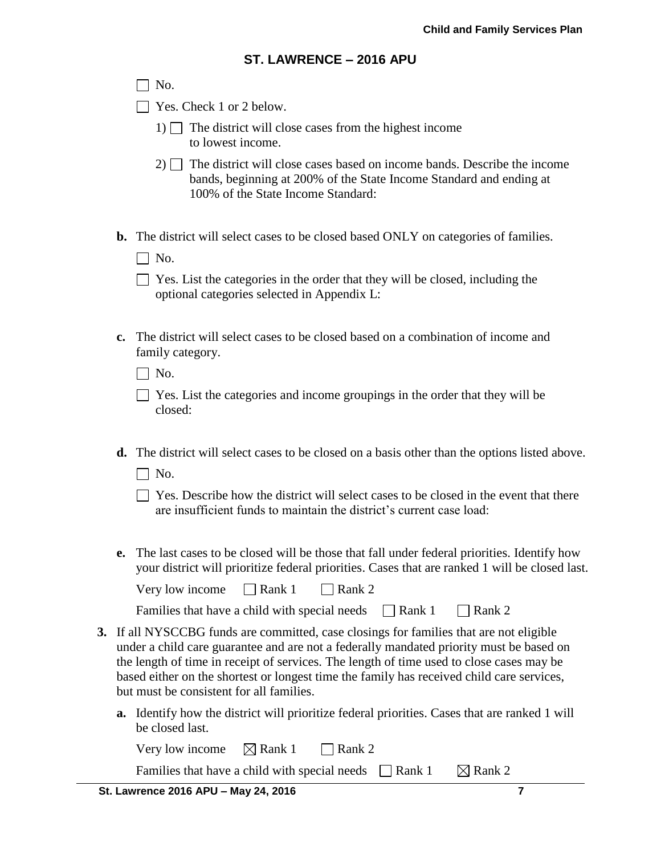|    |    | <b>SI. LAWRENCE – 2016 APU</b>                                                                                                                                                                                                                                                                                                                                                                                       |
|----|----|----------------------------------------------------------------------------------------------------------------------------------------------------------------------------------------------------------------------------------------------------------------------------------------------------------------------------------------------------------------------------------------------------------------------|
|    |    | No.                                                                                                                                                                                                                                                                                                                                                                                                                  |
|    |    | Yes. Check 1 or 2 below.                                                                                                                                                                                                                                                                                                                                                                                             |
|    |    | 1) The district will close cases from the highest income<br>to lowest income.                                                                                                                                                                                                                                                                                                                                        |
|    |    | $2)$ The district will close cases based on income bands. Describe the income<br>bands, beginning at 200% of the State Income Standard and ending at<br>100% of the State Income Standard:                                                                                                                                                                                                                           |
|    | b. | The district will select cases to be closed based ONLY on categories of families.<br>$\Box$ No.                                                                                                                                                                                                                                                                                                                      |
|    |    | Yes. List the categories in the order that they will be closed, including the<br>optional categories selected in Appendix L:                                                                                                                                                                                                                                                                                         |
|    | c. | The district will select cases to be closed based on a combination of income and<br>family category.                                                                                                                                                                                                                                                                                                                 |
|    |    | No.                                                                                                                                                                                                                                                                                                                                                                                                                  |
|    |    | Yes. List the categories and income groupings in the order that they will be<br>closed:                                                                                                                                                                                                                                                                                                                              |
|    | d. | The district will select cases to be closed on a basis other than the options listed above.<br>No.                                                                                                                                                                                                                                                                                                                   |
|    |    | Yes. Describe how the district will select cases to be closed in the event that there<br>are insufficient funds to maintain the district's current case load:                                                                                                                                                                                                                                                        |
|    | e. | The last cases to be closed will be those that fall under federal priorities. Identify how<br>your district will prioritize federal priorities. Cases that are ranked 1 will be closed last.                                                                                                                                                                                                                         |
|    |    | $\Box$ Rank 1<br>Rank 2<br>Very low income                                                                                                                                                                                                                                                                                                                                                                           |
|    |    | Families that have a child with special needs<br>$\vert$ Rank 1<br>Rank 2                                                                                                                                                                                                                                                                                                                                            |
| 3. |    | If all NYSCCBG funds are committed, case closings for families that are not eligible<br>under a child care guarantee and are not a federally mandated priority must be based on<br>the length of time in receipt of services. The length of time used to close cases may be<br>based either on the shortest or longest time the family has received child care services,<br>but must be consistent for all families. |
|    |    | <b>a.</b> Identify how the district will prioritize federal priorities. Cases that are ranked 1 will<br>be closed last.                                                                                                                                                                                                                                                                                              |
|    |    | $\boxtimes$ Rank 1<br>Rank 2<br>Very low income                                                                                                                                                                                                                                                                                                                                                                      |
|    |    | Families that have a child with special needs<br>$\boxtimes$ Rank 2<br>Rank 1                                                                                                                                                                                                                                                                                                                                        |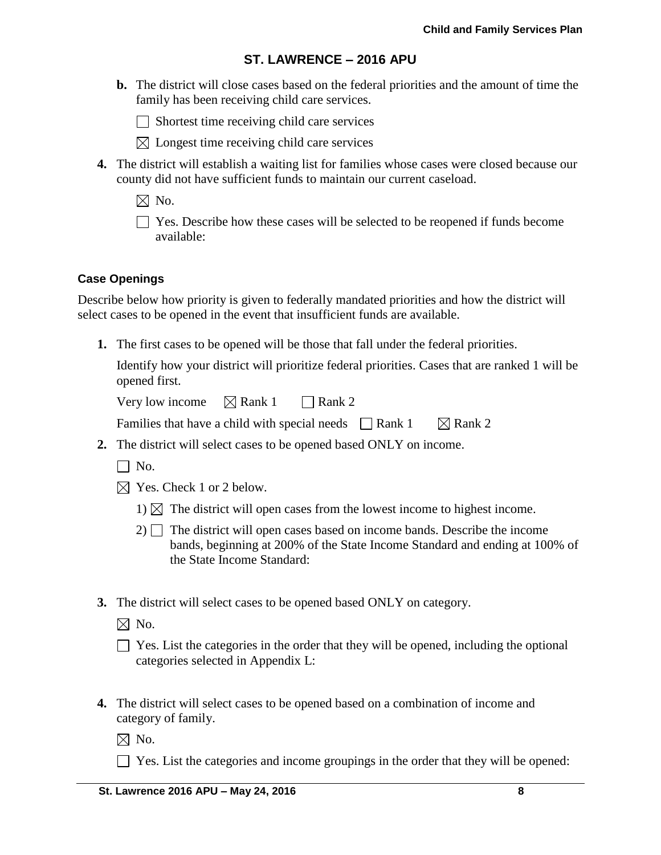**b.** The district will close cases based on the federal priorities and the amount of time the family has been receiving child care services.

 $\Box$  Shortest time receiving child care services

- $\boxtimes$  Longest time receiving child care services
- **4.** The district will establish a waiting list for families whose cases were closed because our county did not have sufficient funds to maintain our current caseload.

 $\boxtimes$  No.

Yes. Describe how these cases will be selected to be reopened if funds become available:

## **Case Openings**

Describe below how priority is given to federally mandated priorities and how the district will select cases to be opened in the event that insufficient funds are available.

**1.** The first cases to be opened will be those that fall under the federal priorities.

Identify how your district will prioritize federal priorities. Cases that are ranked 1 will be opened first.

Very low income  $\boxtimes$  Rank 1  $\Box$  Rank 2

Families that have a child with special needs  $\Box$  Rank 1  $\Box$  Rank 2

- **2.** The district will select cases to be opened based ONLY on income.
	- $\Box$  No.
	- $\boxtimes$  Yes. Check 1 or 2 below.
		- 1)  $\boxtimes$  The district will open cases from the lowest income to highest income.
		- $2)$  The district will open cases based on income bands. Describe the income bands, beginning at 200% of the State Income Standard and ending at 100% of the State Income Standard:
- **3.** The district will select cases to be opened based ONLY on category.

 $\boxtimes$  No.

| $\Box$ Yes. List the categories in the order that they will be opened, including the optional |  |  |
|-----------------------------------------------------------------------------------------------|--|--|
| categories selected in Appendix L:                                                            |  |  |

**4.** The district will select cases to be opened based on a combination of income and category of family.

 $\boxtimes$  No.

 $\Box$  Yes. List the categories and income groupings in the order that they will be opened: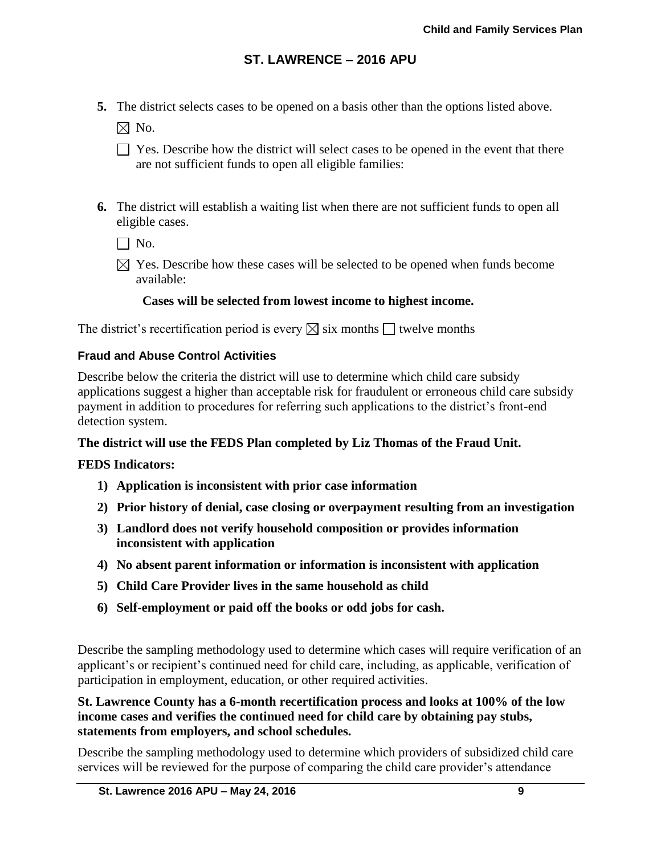**5.** The district selects cases to be opened on a basis other than the options listed above.

 $\boxtimes$  No.

- $\Box$  Yes. Describe how the district will select cases to be opened in the event that there are not sufficient funds to open all eligible families:
- **6.** The district will establish a waiting list when there are not sufficient funds to open all eligible cases.

 $\Box$  No.

 $\boxtimes$  Yes. Describe how these cases will be selected to be opened when funds become available:

# **Cases will be selected from lowest income to highest income.**

The district's recertification period is every  $\boxtimes$  six months  $\Box$  twelve months

## **Fraud and Abuse Control Activities**

Describe below the criteria the district will use to determine which child care subsidy applications suggest a higher than acceptable risk for fraudulent or erroneous child care subsidy payment in addition to procedures for referring such applications to the district's front-end detection system.

## **The district will use the FEDS Plan completed by Liz Thomas of the Fraud Unit.**

## **FEDS Indicators:**

- **1) Application is inconsistent with prior case information**
- **2) Prior history of denial, case closing or overpayment resulting from an investigation**
- **3) Landlord does not verify household composition or provides information inconsistent with application**
- **4) No absent parent information or information is inconsistent with application**
- **5) Child Care Provider lives in the same household as child**
- **6) Self-employment or paid off the books or odd jobs for cash.**

Describe the sampling methodology used to determine which cases will require verification of an applicant's or recipient's continued need for child care, including, as applicable, verification of participation in employment, education, or other required activities.

### **St. Lawrence County has a 6-month recertification process and looks at 100% of the low income cases and verifies the continued need for child care by obtaining pay stubs, statements from employers, and school schedules.**

Describe the sampling methodology used to determine which providers of subsidized child care services will be reviewed for the purpose of comparing the child care provider's attendance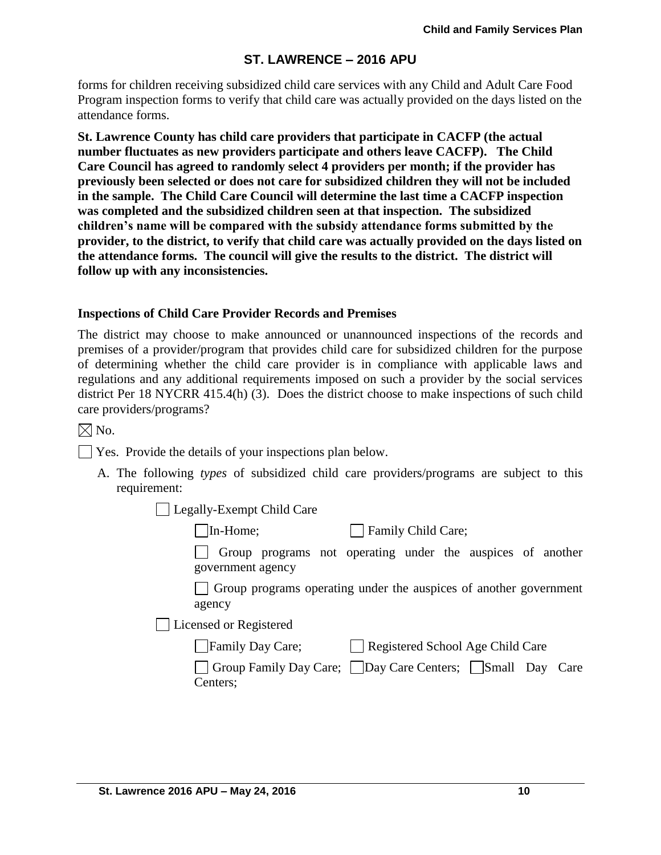forms for children receiving subsidized child care services with any Child and Adult Care Food Program inspection forms to verify that child care was actually provided on the days listed on the attendance forms.

**St. Lawrence County has child care providers that participate in CACFP (the actual number fluctuates as new providers participate and others leave CACFP). The Child Care Council has agreed to randomly select 4 providers per month; if the provider has previously been selected or does not care for subsidized children they will not be included in the sample. The Child Care Council will determine the last time a CACFP inspection was completed and the subsidized children seen at that inspection. The subsidized children's name will be compared with the subsidy attendance forms submitted by the provider, to the district, to verify that child care was actually provided on the days listed on the attendance forms. The council will give the results to the district. The district will follow up with any inconsistencies.**

#### **Inspections of Child Care Provider Records and Premises**

The district may choose to make announced or unannounced inspections of the records and premises of a provider/program that provides child care for subsidized children for the purpose of determining whether the child care provider is in compliance with applicable laws and regulations and any additional requirements imposed on such a provider by the social services district Per 18 NYCRR 415.4(h) (3). Does the district choose to make inspections of such child care providers/programs?

 $\boxtimes$  No.

 $\Box$  Yes. Provide the details of your inspections plan below.

A. The following *types* of subsidized child care providers/programs are subject to this requirement:

Legally-Exempt Child Care

In-Home; Family Child Care;

Group programs not operating under the auspices of another government agency

Group programs operating under the auspices of another government agency

Licensed or Registered

| Family Day Care; | Registered School Age Child Care |
|------------------|----------------------------------|
|                  |                                  |

| Group Family Day Care; Day Care Centers; Small Day Care |  |  |
|---------------------------------------------------------|--|--|
| Centers;                                                |  |  |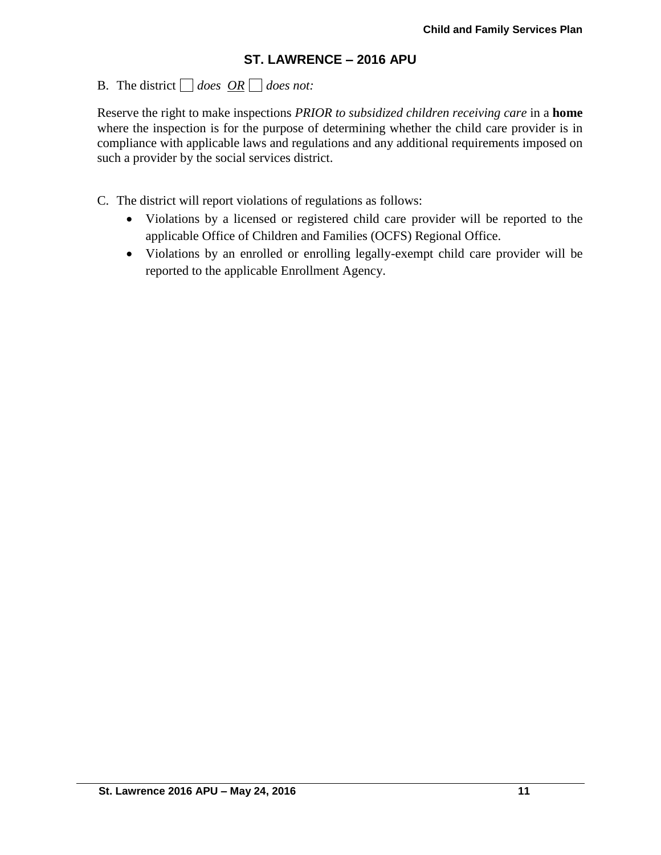# B. The district  $\Box$  does  $\overline{OR} \Box$  does not:

Reserve the right to make inspections *PRIOR to subsidized children receiving care* in a **home** where the inspection is for the purpose of determining whether the child care provider is in compliance with applicable laws and regulations and any additional requirements imposed on such a provider by the social services district.

C. The district will report violations of regulations as follows:

- Violations by a licensed or registered child care provider will be reported to the applicable Office of Children and Families (OCFS) Regional Office.
- Violations by an enrolled or enrolling legally-exempt child care provider will be reported to the applicable Enrollment Agency.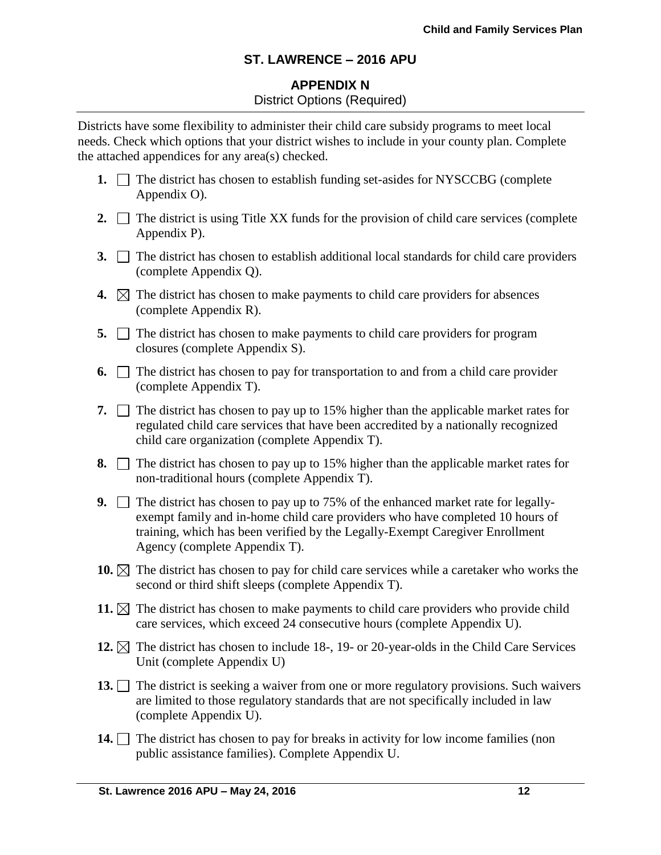# **APPENDIX N** District Options (Required)

Districts have some flexibility to administer their child care subsidy programs to meet local needs. Check which options that your district wishes to include in your county plan. Complete the attached appendices for any area(s) checked.

- **1.** The district has chosen to establish funding set-asides for NYSCCBG (complete) Appendix O).
- **2.**  $\Box$  The district is using Title XX funds for the provision of child care services (complete Appendix P).
- **3.**  $\Box$  The district has chosen to establish additional local standards for child care providers (complete Appendix Q).
- **4.**  $\boxtimes$  The district has chosen to make payments to child care providers for absences (complete Appendix R).
- **5.**  $\Box$  The district has chosen to make payments to child care providers for program closures (complete Appendix S).
- **6.**  $\Box$  The district has chosen to pay for transportation to and from a child care provider (complete Appendix T).
- **7.**  $\Box$  The district has chosen to pay up to 15% higher than the applicable market rates for regulated child care services that have been accredited by a nationally recognized child care organization (complete Appendix T).
- **8.**  $\Box$  The district has chosen to pay up to 15% higher than the applicable market rates for non-traditional hours (complete Appendix T).
- **9.** The district has chosen to pay up to 75% of the enhanced market rate for legallyexempt family and in-home child care providers who have completed 10 hours of training, which has been verified by the Legally-Exempt Caregiver Enrollment Agency (complete Appendix T).
- **10.**  $\boxtimes$  The district has chosen to pay for child care services while a caretaker who works the second or third shift sleeps (complete Appendix T).
- **11.**  $\boxtimes$  The district has chosen to make payments to child care providers who provide child care services, which exceed 24 consecutive hours (complete Appendix U).
- **12.**  $\boxtimes$  The district has chosen to include 18-, 19- or 20-year-olds in the Child Care Services Unit (complete Appendix U)
- 13. The district is seeking a waiver from one or more regulatory provisions. Such waivers are limited to those regulatory standards that are not specifically included in law (complete Appendix U).
- **14.** The district has chosen to pay for breaks in activity for low income families (non public assistance families). Complete Appendix U.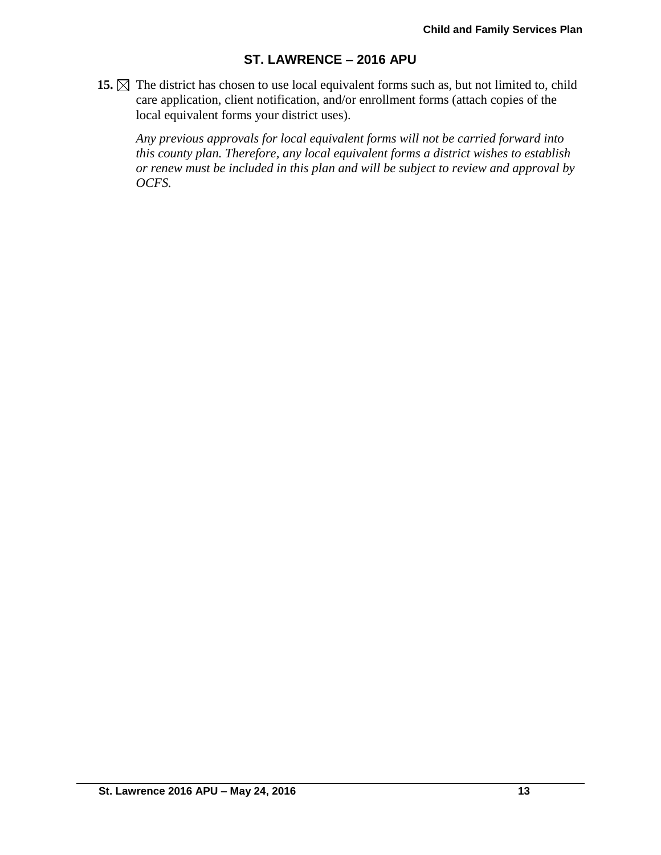**15.**  $\boxtimes$  The district has chosen to use local equivalent forms such as, but not limited to, child care application, client notification, and/or enrollment forms (attach copies of the local equivalent forms your district uses).

*Any previous approvals for local equivalent forms will not be carried forward into this county plan. Therefore, any local equivalent forms a district wishes to establish or renew must be included in this plan and will be subject to review and approval by OCFS.*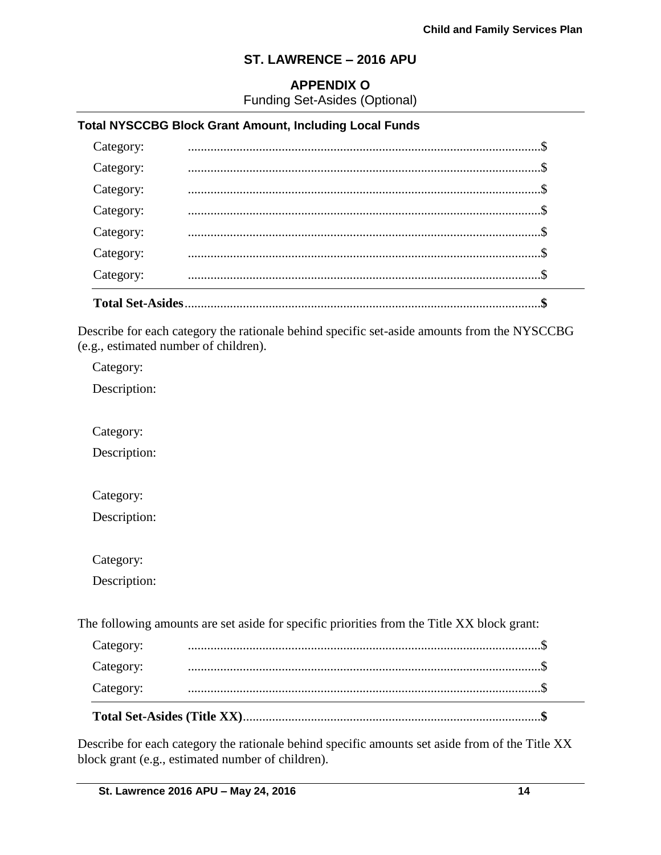### **APPENDIX O**

Funding Set-Asides (Optional)

### **Total NYSCCBG Block Grant Amount, Including Local Funds**

| Category: |                         |  |  |
|-----------|-------------------------|--|--|
| Category: |                         |  |  |
| Category: |                         |  |  |
| Category: |                         |  |  |
| Category: |                         |  |  |
| Category: |                         |  |  |
| Category: |                         |  |  |
|           | <b>Total Set-Asides</b> |  |  |

Describe for each category the rationale behind specific set-aside amounts from the NYSCCBG (e.g., estimated number of children).

Category:

Description:

Category:

Description:

Category:

Description:

Category:

Description:

The following amounts are set aside for specific priorities from the Title XX block grant:

| Category: |  |
|-----------|--|
| Category: |  |
| Category: |  |

Describe for each category the rationale behind specific amounts set aside from of the Title XX block grant (e.g., estimated number of children).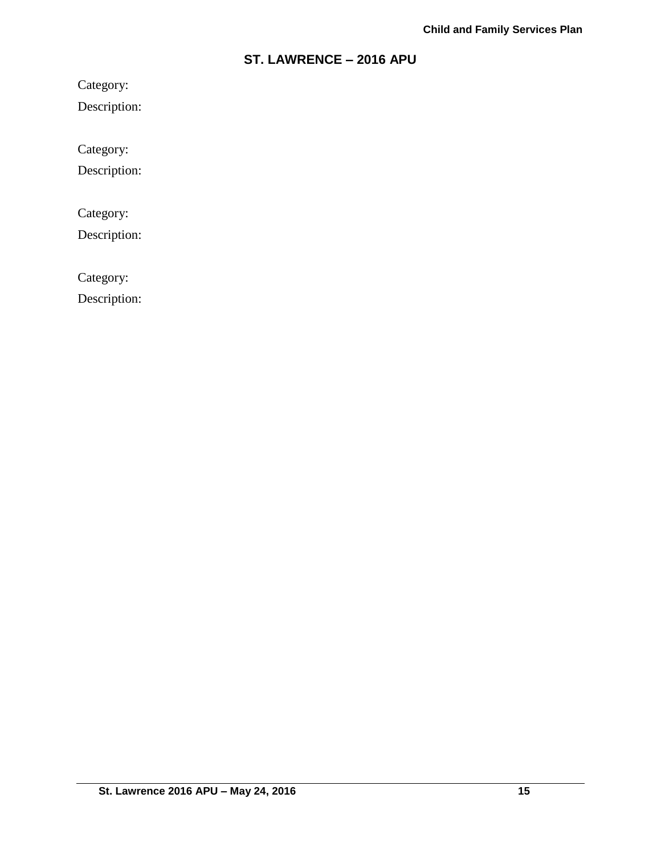Category:

Description:

Category:

Description:

Category:

Description:

Category:

Description: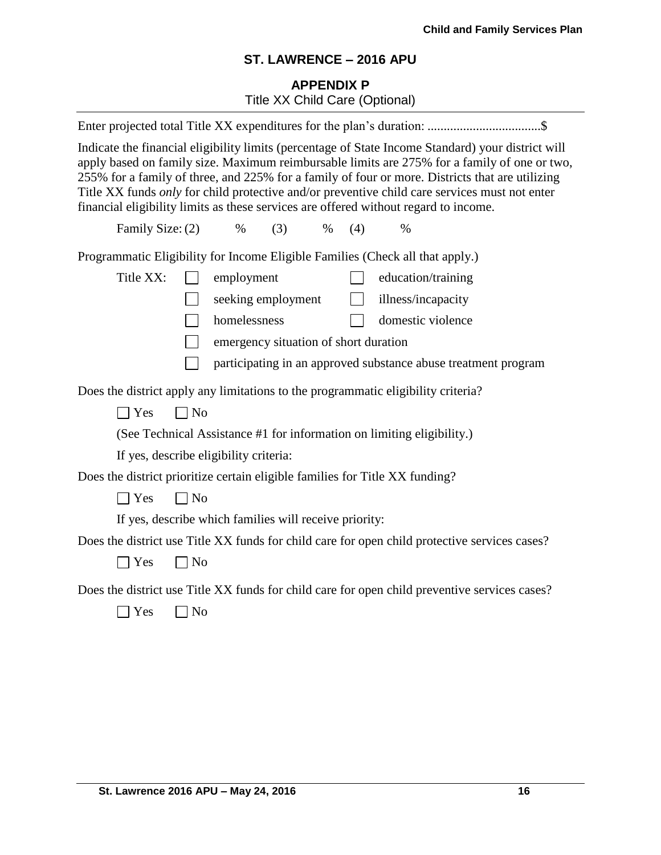# **APPENDIX P** Title XX Child Care (Optional)

| Enter projected total Title XX expenditures for the plan's duration: \$                                                                                                                                                                                                                                                                                                                                                                                                                        |        |                                                                |
|------------------------------------------------------------------------------------------------------------------------------------------------------------------------------------------------------------------------------------------------------------------------------------------------------------------------------------------------------------------------------------------------------------------------------------------------------------------------------------------------|--------|----------------------------------------------------------------|
| Indicate the financial eligibility limits (percentage of State Income Standard) your district will<br>apply based on family size. Maximum reimbursable limits are 275% for a family of one or two,<br>255% for a family of three, and 225% for a family of four or more. Districts that are utilizing<br>Title XX funds only for child protective and/or preventive child care services must not enter<br>financial eligibility limits as these services are offered without regard to income. |        |                                                                |
| Family Size: (2)<br>$\%$<br>(3)<br>$\%$                                                                                                                                                                                                                                                                                                                                                                                                                                                        | (4)    | $\%$                                                           |
| Programmatic Eligibility for Income Eligible Families (Check all that apply.)                                                                                                                                                                                                                                                                                                                                                                                                                  |        |                                                                |
| Title XX:<br>employment                                                                                                                                                                                                                                                                                                                                                                                                                                                                        |        | education/training                                             |
| seeking employment                                                                                                                                                                                                                                                                                                                                                                                                                                                                             | $\Box$ | illness/incapacity                                             |
| homelessness                                                                                                                                                                                                                                                                                                                                                                                                                                                                                   |        | domestic violence                                              |
| emergency situation of short duration                                                                                                                                                                                                                                                                                                                                                                                                                                                          |        |                                                                |
|                                                                                                                                                                                                                                                                                                                                                                                                                                                                                                |        | participating in an approved substance abuse treatment program |
| Does the district apply any limitations to the programmatic eligibility criteria?                                                                                                                                                                                                                                                                                                                                                                                                              |        |                                                                |
| $\Box$ No<br>$\Box$ Yes                                                                                                                                                                                                                                                                                                                                                                                                                                                                        |        |                                                                |
| (See Technical Assistance #1 for information on limiting eligibility.)                                                                                                                                                                                                                                                                                                                                                                                                                         |        |                                                                |
| If yes, describe eligibility criteria:                                                                                                                                                                                                                                                                                                                                                                                                                                                         |        |                                                                |
| Does the district prioritize certain eligible families for Title XX funding?                                                                                                                                                                                                                                                                                                                                                                                                                   |        |                                                                |
| $\neg$ No<br>$\exists$ Yes                                                                                                                                                                                                                                                                                                                                                                                                                                                                     |        |                                                                |
| If yes, describe which families will receive priority:                                                                                                                                                                                                                                                                                                                                                                                                                                         |        |                                                                |
| Does the district use Title XX funds for child care for open child protective services cases?                                                                                                                                                                                                                                                                                                                                                                                                  |        |                                                                |
| $\neg$ No<br>$\exists$ Yes                                                                                                                                                                                                                                                                                                                                                                                                                                                                     |        |                                                                |
| Does the district use Title XX funds for child care for open child preventive services cases?                                                                                                                                                                                                                                                                                                                                                                                                  |        |                                                                |
| Yes<br>N <sub>0</sub>                                                                                                                                                                                                                                                                                                                                                                                                                                                                          |        |                                                                |
|                                                                                                                                                                                                                                                                                                                                                                                                                                                                                                |        |                                                                |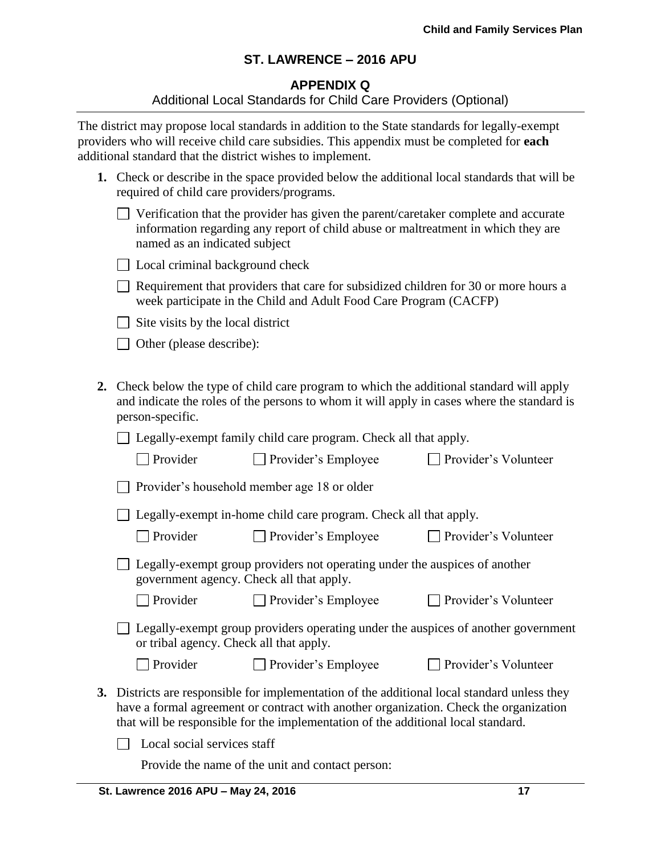#### **APPENDIX Q**

#### Additional Local Standards for Child Care Providers (Optional)

The district may propose local standards in addition to the State standards for legally-exempt providers who will receive child care subsidies. This appendix must be completed for **each** additional standard that the district wishes to implement.

| 1. Check or describe in the space provided below the additional local standards that will be |
|----------------------------------------------------------------------------------------------|
| required of child care providers/programs.                                                   |

| $\Box$ Verification that the provider has given the parent/caretaker complete and accurate |
|--------------------------------------------------------------------------------------------|
| information regarding any report of child abuse or maltreatment in which they are          |
| named as an indicated subject                                                              |

| □ Local criminal background check |  |  |  |  |  |
|-----------------------------------|--|--|--|--|--|
|-----------------------------------|--|--|--|--|--|

 $\Box$  Requirement that providers that care for subsidized children for 30 or more hours a week participate in the Child and Adult Food Care Program (CACFP)

 $\Box$  Site visits by the local district

□ Other (please describe):

**2.** Check below the type of child care program to which the additional standard will apply and indicate the roles of the persons to whom it will apply in cases where the standard is person-specific.

□ Legally-exempt family child care program. Check all that apply.

| $\Box$ Provider | $\Box$ Provider's Employee | $\Box$ Provider's Volunteer |
|-----------------|----------------------------|-----------------------------|
|-----------------|----------------------------|-----------------------------|

Provider's household member age 18 or older

□ Legally-exempt in-home child care program. Check all that apply.

□ Provider Provider's Employee Provider's Volunteer

| $\Box$ Legally-exempt group providers not operating under the auspices of another |
|-----------------------------------------------------------------------------------|
| government agency. Check all that apply.                                          |

Provider Provider's Employee Provider's Volunteer

 $\Box$  Legally-exempt group providers operating under the auspices of another government or tribal agency. Check all that apply.

- $\Box$  Provider's Volunteer
- **3.** Districts are responsible for implementation of the additional local standard unless they have a formal agreement or contract with another organization. Check the organization that will be responsible for the implementation of the additional local standard.

 $\Box$  Local social services staff

Provide the name of the unit and contact person: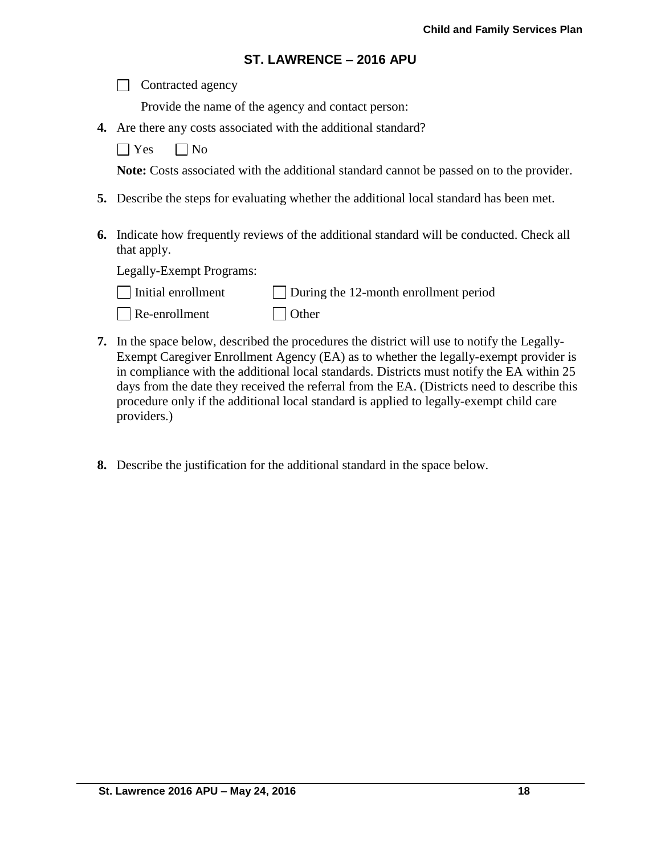| $\Box$ Contracted agency |  |
|--------------------------|--|
|--------------------------|--|

Provide the name of the agency and contact person:

**4.** Are there any costs associated with the additional standard?

 $\Box$  Yes  $\Box$  No

**Note:** Costs associated with the additional standard cannot be passed on to the provider.

- **5.** Describe the steps for evaluating whether the additional local standard has been met.
- **6.** Indicate how frequently reviews of the additional standard will be conducted. Check all that apply.

Legally-Exempt Programs:

| Initial enrollment | $\Box$ During the 12-month enrollment period |
|--------------------|----------------------------------------------|
|                    |                                              |

- Re-enrollment Other
- **7.** In the space below, described the procedures the district will use to notify the Legally-Exempt Caregiver Enrollment Agency (EA) as to whether the legally-exempt provider is in compliance with the additional local standards. Districts must notify the EA within 25 days from the date they received the referral from the EA. (Districts need to describe this procedure only if the additional local standard is applied to legally-exempt child care providers.)
- **8.** Describe the justification for the additional standard in the space below.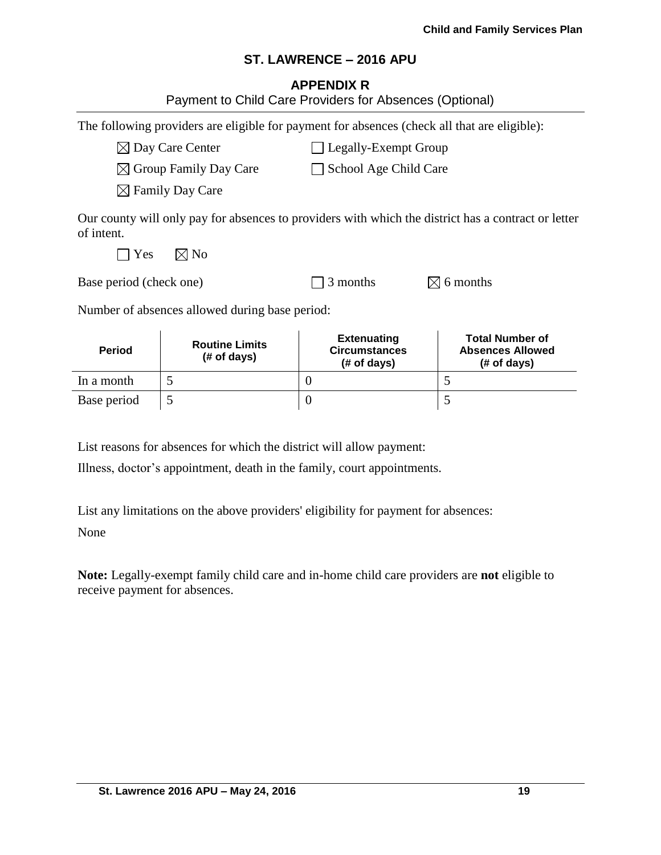### **APPENDIX R**

|                         |                                                | Payment to Child Care Providers for Absences (Optional)                                      |                                                                                                     |
|-------------------------|------------------------------------------------|----------------------------------------------------------------------------------------------|-----------------------------------------------------------------------------------------------------|
|                         |                                                | The following providers are eligible for payment for absences (check all that are eligible): |                                                                                                     |
|                         | $\boxtimes$ Day Care Center                    | $\Box$ Legally-Exempt Group                                                                  |                                                                                                     |
|                         | $\boxtimes$ Group Family Day Care              | School Age Child Care                                                                        |                                                                                                     |
|                         | $\boxtimes$ Family Day Care                    |                                                                                              |                                                                                                     |
| of intent.              |                                                |                                                                                              | Our county will only pay for absences to providers with which the district has a contract or letter |
| Yes                     | $\boxtimes$ No                                 |                                                                                              |                                                                                                     |
| Base period (check one) |                                                | 3 months                                                                                     | $\boxtimes$ 6 months                                                                                |
|                         | Number of absences allowed during base period: |                                                                                              |                                                                                                     |
| <b>Period</b>           | <b>Routine Limits</b><br>(# of days)           | <b>Extenuating</b><br><b>Circumstances</b><br>(# of days)                                    | <b>Total Number of</b><br><b>Absences Allowed</b><br>(# of days)                                    |
| In a month              | 5                                              | $\theta$                                                                                     | 5                                                                                                   |
| Base period             | 5                                              | $\boldsymbol{0}$                                                                             | 5                                                                                                   |

List reasons for absences for which the district will allow payment:

Illness, doctor's appointment, death in the family, court appointments.

List any limitations on the above providers' eligibility for payment for absences:

None

**Note:** Legally-exempt family child care and in-home child care providers are **not** eligible to receive payment for absences.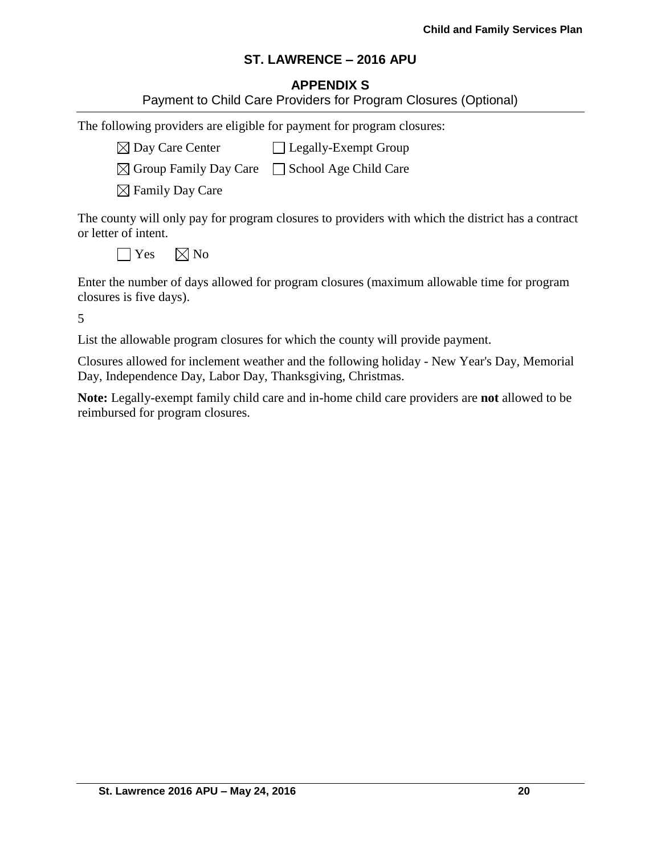# **APPENDIX S**

| Payment to Child Care Providers for Program Closures (Optional) |
|-----------------------------------------------------------------|
|                                                                 |

The following providers are eligible for payment for program closures:

 $\boxtimes$  Day Care Center  $\Box$  Legally-Exempt Group

 $\boxtimes$  Group Family Day Care  $\Box$  School Age Child Care

 $\boxtimes$  Family Day Care

The county will only pay for program closures to providers with which the district has a contract or letter of intent.

 $\bigcap$  Yes  $\bigotimes$  No

Enter the number of days allowed for program closures (maximum allowable time for program closures is five days).

5

List the allowable program closures for which the county will provide payment.

Closures allowed for inclement weather and the following holiday - New Year's Day, Memorial Day, Independence Day, Labor Day, Thanksgiving, Christmas.

**Note:** Legally-exempt family child care and in-home child care providers are **not** allowed to be reimbursed for program closures.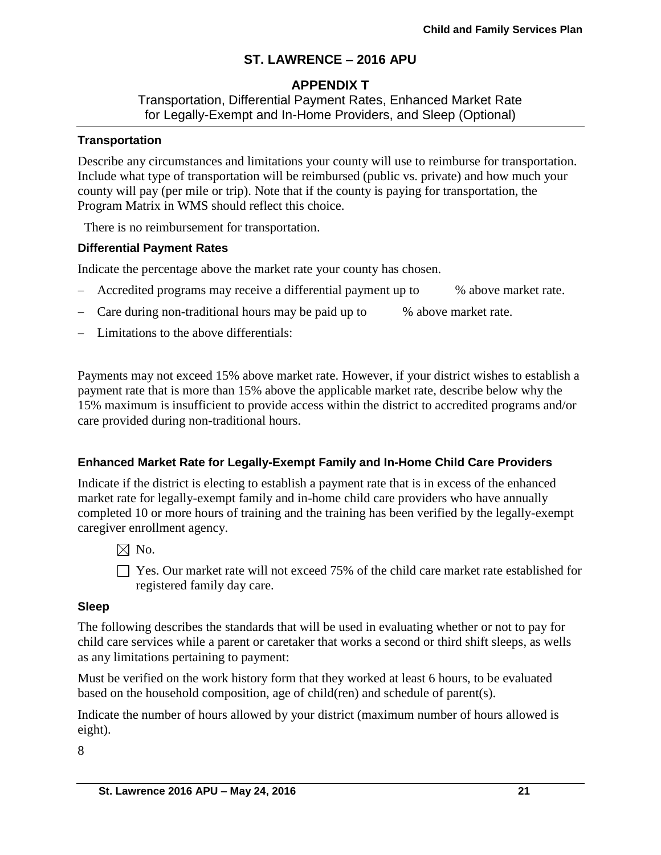## **APPENDIX T**

Transportation, Differential Payment Rates, Enhanced Market Rate for Legally-Exempt and In-Home Providers, and Sleep (Optional)

#### **Transportation**

Describe any circumstances and limitations your county will use to reimburse for transportation. Include what type of transportation will be reimbursed (public vs. private) and how much your county will pay (per mile or trip). Note that if the county is paying for transportation, the Program Matrix in WMS should reflect this choice.

There is no reimbursement for transportation.

### **Differential Payment Rates**

Indicate the percentage above the market rate your county has chosen.

- Accredited programs may receive a differential payment up to % above market rate.
- Care during non-traditional hours may be paid up to % above market rate.
- Limitations to the above differentials:

Payments may not exceed 15% above market rate. However, if your district wishes to establish a payment rate that is more than 15% above the applicable market rate, describe below why the 15% maximum is insufficient to provide access within the district to accredited programs and/or care provided during non-traditional hours.

## **Enhanced Market Rate for Legally-Exempt Family and In-Home Child Care Providers**

Indicate if the district is electing to establish a payment rate that is in excess of the enhanced market rate for legally-exempt family and in-home child care providers who have annually completed 10 or more hours of training and the training has been verified by the legally-exempt caregiver enrollment agency.

- $\boxtimes$  No.
- $\Box$  Yes. Our market rate will not exceed 75% of the child care market rate established for registered family day care.

#### **Sleep**

The following describes the standards that will be used in evaluating whether or not to pay for child care services while a parent or caretaker that works a second or third shift sleeps, as wells as any limitations pertaining to payment:

Must be verified on the work history form that they worked at least 6 hours, to be evaluated based on the household composition, age of child(ren) and schedule of parent(s).

Indicate the number of hours allowed by your district (maximum number of hours allowed is eight).

8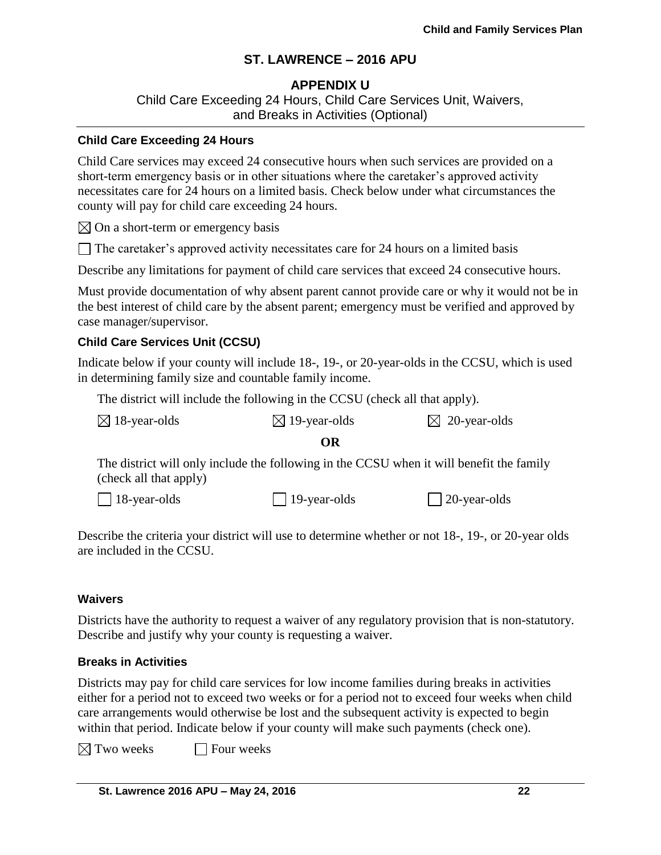## **APPENDIX U**

Child Care Exceeding 24 Hours, Child Care Services Unit, Waivers, and Breaks in Activities (Optional)

#### **Child Care Exceeding 24 Hours**

Child Care services may exceed 24 consecutive hours when such services are provided on a short-term emergency basis or in other situations where the caretaker's approved activity necessitates care for 24 hours on a limited basis. Check below under what circumstances the county will pay for child care exceeding 24 hours.

 $\boxtimes$  On a short-term or emergency basis

 $\Box$  The caretaker's approved activity necessitates care for 24 hours on a limited basis

Describe any limitations for payment of child care services that exceed 24 consecutive hours.

Must provide documentation of why absent parent cannot provide care or why it would not be in the best interest of child care by the absent parent; emergency must be verified and approved by case manager/supervisor.

#### **Child Care Services Unit (CCSU)**

Indicate below if your county will include 18-, 19-, or 20-year-olds in the CCSU, which is used in determining family size and countable family income.

The district will include the following in the CCSU (check all that apply).

 $\boxtimes$  20-year-olds

**OR**

The district will only include the following in the CCSU when it will benefit the family (check all that apply)

18-year-olds 19-year-olds 20-year-olds

Describe the criteria your district will use to determine whether or not 18-, 19-, or 20-year olds are included in the CCSU.

#### **Waivers**

Districts have the authority to request a waiver of any regulatory provision that is non-statutory. Describe and justify why your county is requesting a waiver.

#### **Breaks in Activities**

Districts may pay for child care services for low income families during breaks in activities either for a period not to exceed two weeks or for a period not to exceed four weeks when child care arrangements would otherwise be lost and the subsequent activity is expected to begin within that period. Indicate below if your county will make such payments (check one).

 $\boxtimes$  Two weeks  $\Box$  Four weeks